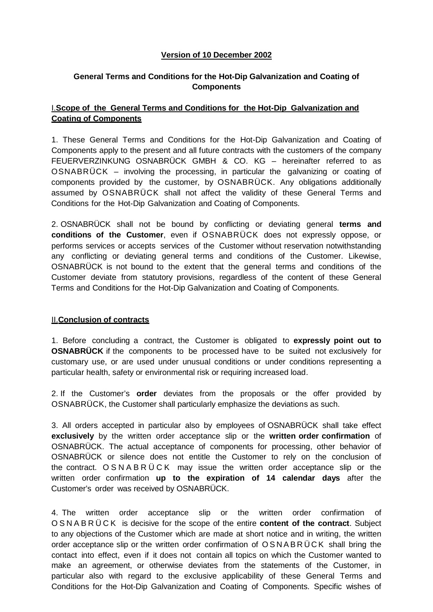## **Version of 10 December 2002**

# **General Terms and Conditions for the Hot-Dip Galvanization and Coating of Components**

# I.**Scope of the General Terms and Conditions for the Hot-Dip Galvanization and Coating of Components**

1. These General Terms and Conditions for the Hot-Dip Galvanization and Coating of Components apply to the present and all future contracts with the customers of the company FEUERVERZINKUNG OSNABRÜCK GMBH & CO. KG – hereinafter referred to as OSNABRÜCK – involving the processing, in particular the galvanizing or coating of components provided by the customer, by OSNABRÜCK. Any obligations additionally assumed by OSNABRÜCK shall not affect the validity of these General Terms and Conditions for the Hot-Dip Galvanization and Coating of Components.

2. OSNABRÜCK shall not be bound by conflicting or deviating general **terms and conditions of the Customer**, even if OSNABRÜCK does not expressly oppose, or performs services or accepts services of the Customer without reservation notwithstanding any conflicting or deviating general terms and conditions of the Customer. Likewise, OSNABRÜCK is not bound to the extent that the general terms and conditions of the Customer deviate from statutory provisions, regardless of the content of these General Terms and Conditions for the Hot-Dip Galvanization and Coating of Components.

#### II.**Conclusion of contracts**

1. Before concluding a contract, the Customer is obligated to **expressly point out to OSNABRÜCK** if the components to be processed have to be suited not exclusively for customary use, or are used under unusual conditions or under conditions representing a particular health, safety or environmental risk or requiring increased load.

2. If the Customer's **order** deviates from the proposals or the offer provided by OSNABRÜCK, the Customer shall particularly emphasize the deviations as such.

3. All orders accepted in particular also by employees of OSNABRÜCK shall take effect **exclusively** by the written order acceptance slip or the **written order confirmation** of OSNABRÜCK. The actual acceptance of components for processing, other behavior of OSNABRÜCK or silence does not entitle the Customer to rely on the conclusion of the contract. OSNABRÜCK may issue the written order acceptance slip or the written order confirmation **up to the expiration of 14 calendar days** after the Customer's order was received by OSNABRÜCK.

4. The written order acceptance slip or the written order confirmation of OSNABRÜCK is decisive for the scope of the entire **content of the contract**. Subject to any objections of the Customer which are made at short notice and in writing, the written order acceptance slip or the written order confirmation of OSNABRÜCK shall bring the contact into effect, even if it does not contain all topics on which the Customer wanted to make an agreement, or otherwise deviates from the statements of the Customer, in particular also with regard to the exclusive applicability of these General Terms and Conditions for the Hot-Dip Galvanization and Coating of Components. Specific wishes of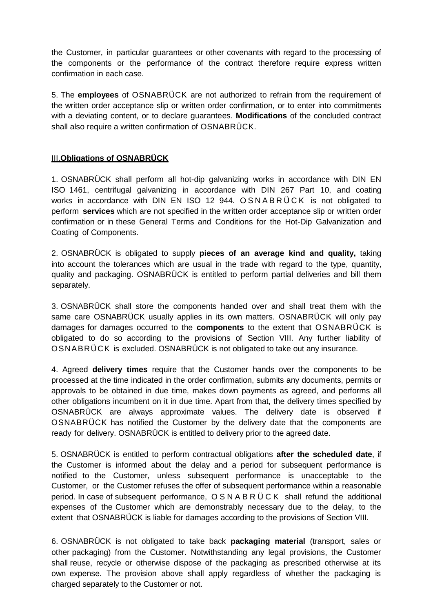the Customer, in particular guarantees or other covenants with regard to the processing of the components or the performance of the contract therefore require express written confirmation in each case.

5. The **employees** of OSNABRÜCK are not authorized to refrain from the requirement of the written order acceptance slip or written order confirmation, or to enter into commitments with a deviating content, or to declare guarantees. **Modifications** of the concluded contract shall also require a written confirmation of OSNABRÜCK.

## III.**Obligations of OSNABRÜCK**

1. OSNABRÜCK shall perform all hot-dip galvanizing works in accordance with DIN EN ISO 1461, centrifugal galvanizing in accordance with DIN 267 Part 10, and coating works in accordance with DIN EN ISO 12 944. OSNABRÜCK is not obligated to perform **services** which are not specified in the written order acceptance slip or written order confirmation or in these General Terms and Conditions for the Hot-Dip Galvanization and Coating of Components.

2. OSNABRÜCK is obligated to supply **pieces of an average kind and quality,** taking into account the tolerances which are usual in the trade with regard to the type, quantity, quality and packaging. OSNABRÜCK is entitled to perform partial deliveries and bill them separately.

3. OSNABRÜCK shall store the components handed over and shall treat them with the same care OSNABRÜCK usually applies in its own matters. OSNABRÜCK will only pay damages for damages occurred to the **components** to the extent that OSNABRÜCK is obligated to do so according to the provisions of Section VIII. Any further liability of OSNABRÜCK is excluded. OSNABRÜCK is not obligated to take out any insurance.

4. Agreed **delivery times** require that the Customer hands over the components to be processed at the time indicated in the order confirmation, submits any documents, permits or approvals to be obtained in due time, makes down payments as agreed, and performs all other obligations incumbent on it in due time. Apart from that, the delivery times specified by OSNABRÜCK are always approximate values. The delivery date is observed if OSNABRÜCK has notified the Customer by the delivery date that the components are ready for delivery. OSNABRÜCK is entitled to delivery prior to the agreed date.

5. OSNABRÜCK is entitled to perform contractual obligations **after the scheduled date**, if the Customer is informed about the delay and a period for subsequent performance is notified to the Customer, unless subsequent performance is unacceptable to the Customer, or the Customer refuses the offer of subsequent performance within a reasonable period. In case of subsequent performance, OSNABRÜCK shall refund the additional expenses of the Customer which are demonstrably necessary due to the delay, to the extent that OSNABRÜCK is liable for damages according to the provisions of Section VIII.

6. OSNABRÜCK is not obligated to take back **packaging material** (transport, sales or other packaging) from the Customer. Notwithstanding any legal provisions, the Customer shall reuse, recycle or otherwise dispose of the packaging as prescribed otherwise at its own expense. The provision above shall apply regardless of whether the packaging is charged separately to the Customer or not.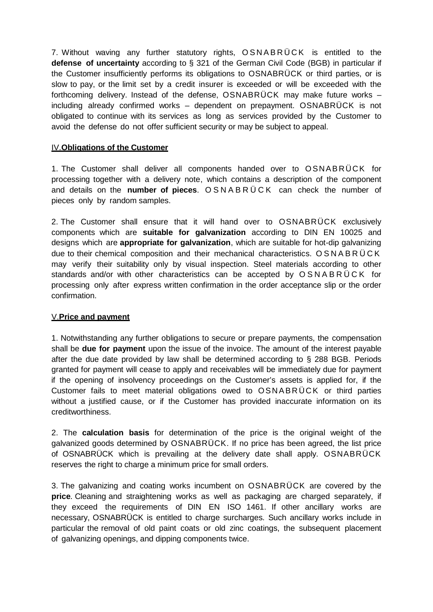7. Without waving any further statutory rights, OSNABRÜCK is entitled to the **defense of uncertainty** according to § 321 of the German Civil Code (BGB) in particular if the Customer insufficiently performs its obligations to OSNABRÜCK or third parties, or is slow to pay, or the limit set by a credit insurer is exceeded or will be exceeded with the forthcoming delivery. Instead of the defense, OSNABRÜCK may make future works – including already confirmed works – dependent on prepayment. OSNABRÜCK is not obligated to continue with its services as long as services provided by the Customer to avoid the defense do not offer sufficient security or may be subject to appeal.

#### IV.**Obligations of the Customer**

1. The Customer shall deliver all components handed over to OSNABRÜCK for processing together with a delivery note, which contains a description of the component and details on the **number of pieces**. OSNABRÜCK can check the number of pieces only by random samples.

2. The Customer shall ensure that it will hand over to OSNABRÜCK exclusively components which are **suitable for galvanization** according to DIN EN 10025 and designs which are **appropriate for galvanization**, which are suitable for hot-dip galvanizing due to their chemical composition and their mechanical characteristics. OSNABRÜCK may verify their suitability only by visual inspection. Steel materials according to other standards and/or with other characteristics can be accepted by OSNABRÜCK for processing only after express written confirmation in the order acceptance slip or the order confirmation.

#### V.**Price and payment**

1. Notwithstanding any further obligations to secure or prepare payments, the compensation shall be **due for payment** upon the issue of the invoice. The amount of the interest payable after the due date provided by law shall be determined according to § 288 BGB. Periods granted for payment will cease to apply and receivables will be immediately due for payment if the opening of insolvency proceedings on the Customer's assets is applied for, if the Customer fails to meet material obligations owed to OSNABRÜCK or third parties without a justified cause, or if the Customer has provided inaccurate information on its creditworthiness.

2. The **calculation basis** for determination of the price is the original weight of the galvanized goods determined by OSNABRÜCK. If no price has been agreed, the list price of OSNABRÜCK which is prevailing at the delivery date shall apply. OSNABRÜCK reserves the right to charge a minimum price for small orders.

3. The galvanizing and coating works incumbent on OSNABRÜCK are covered by the **price**. Cleaning and straightening works as well as packaging are charged separately, if they exceed the requirements of DIN EN ISO 1461. If other ancillary works are necessary, OSNABRÜCK is entitled to charge surcharges. Such ancillary works include in particular the removal of old paint coats or old zinc coatings, the subsequent placement of galvanizing openings, and dipping components twice.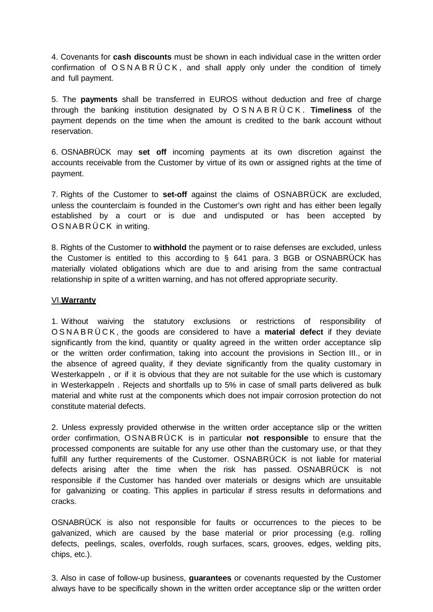4. Covenants for **cash discounts** must be shown in each individual case in the written order confirmation of  $OSNABRÜCK$ , and shall apply only under the condition of timely and full payment.

5. The **payments** shall be transferred in EUROS without deduction and free of charge through the banking institution designated by OSNABRÜCK . **Timeliness** of the payment depends on the time when the amount is credited to the bank account without reservation.

6. OSNABRÜCK may **set off** incoming payments at its own discretion against the accounts receivable from the Customer by virtue of its own or assigned rights at the time of payment.

7. Rights of the Customer to **set-off** against the claims of OSNABRÜCK are excluded, unless the counterclaim is founded in the Customer's own right and has either been legally established by a court or is due and undisputed or has been accepted by OSNABRÜCK in writing.

8. Rights of the Customer to **withhold** the payment or to raise defenses are excluded, unless the Customer is entitled to this according to § 641 para. 3 BGB or OSNABRÜCK has materially violated obligations which are due to and arising from the same contractual relationship in spite of a written warning, and has not offered appropriate security.

#### VI.**Warranty**

1. Without waiving the statutory exclusions or restrictions of responsibility of OSNABRÜCK , the goods are considered to have a **material defect** if they deviate significantly from the kind, quantity or quality agreed in the written order acceptance slip or the written order confirmation, taking into account the provisions in Section III., or in the absence of agreed quality, if they deviate significantly from the quality customary in Westerkappeln , or if it is obvious that they are not suitable for the use which is customary in Westerkappeln . Rejects and shortfalls up to 5% in case of small parts delivered as bulk material and white rust at the components which does not impair corrosion protection do not constitute material defects.

2. Unless expressly provided otherwise in the written order acceptance slip or the written order confirmation, OSNABRÜCK is in particular **not responsible** to ensure that the processed components are suitable for any use other than the customary use, or that they fulfill any further requirements of the Customer. OSNABRÜCK is not liable for material defects arising after the time when the risk has passed. OSNABRÜCK is not responsible if the Customer has handed over materials or designs which are unsuitable for galvanizing or coating. This applies in particular if stress results in deformations and cracks.

OSNABRÜCK is also not responsible for faults or occurrences to the pieces to be galvanized, which are caused by the base material or prior processing (e.g. rolling defects, peelings, scales, overfolds, rough surfaces, scars, grooves, edges, welding pits, chips, etc.).

3. Also in case of follow-up business, **guarantees** or covenants requested by the Customer always have to be specifically shown in the written order acceptance slip or the written order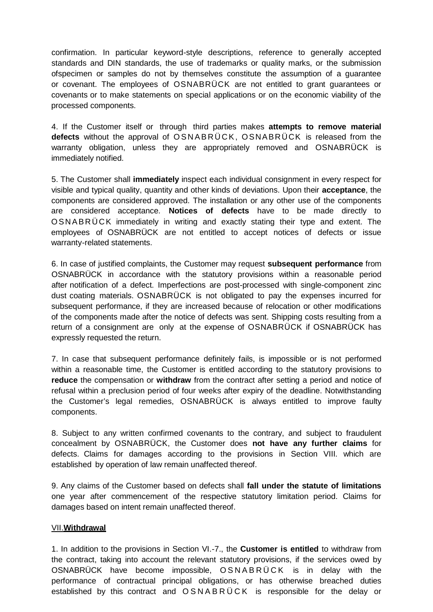confirmation. In particular keyword-style descriptions, reference to generally accepted standards and DIN standards, the use of trademarks or quality marks, or the submission ofspecimen or samples do not by themselves constitute the assumption of a guarantee or covenant. The employees of OSNABRÜCK are not entitled to grant guarantees or covenants or to make statements on special applications or on the economic viability of the processed components.

4. If the Customer itself or through third parties makes **attempts to remove material defects** without the approval of OSNABRÜCK, OSNABRÜCK is released from the warranty obligation, unless they are appropriately removed and OSNABRÜCK is immediately notified.

5. The Customer shall **immediately** inspect each individual consignment in every respect for visible and typical quality, quantity and other kinds of deviations. Upon their **acceptance**, the components are considered approved. The installation or any other use of the components are considered acceptance. **Notices of defects** have to be made directly to OSNABRÜCK immediately in writing and exactly stating their type and extent. The employees of OSNABRÜCK are not entitled to accept notices of defects or issue warranty-related statements.

6. In case of justified complaints, the Customer may request **subsequent performance** from OSNABRÜCK in accordance with the statutory provisions within a reasonable period after notification of a defect. Imperfections are post-processed with single-component zinc dust coating materials. OSNABRÜCK is not obligated to pay the expenses incurred for subsequent performance, if they are increased because of relocation or other modifications of the components made after the notice of defects was sent. Shipping costs resulting from a return of a consignment are only at the expense of OSNABRÜCK if OSNABRÜCK has expressly requested the return.

7. In case that subsequent performance definitely fails, is impossible or is not performed within a reasonable time, the Customer is entitled according to the statutory provisions to **reduce** the compensation or **withdraw** from the contract after setting a period and notice of refusal within a preclusion period of four weeks after expiry of the deadline. Notwithstanding the Customer's legal remedies, OSNABRÜCK is always entitled to improve faulty components.

8. Subject to any written confirmed covenants to the contrary, and subject to fraudulent concealment by OSNABRÜCK, the Customer does **not have any further claims** for defects. Claims for damages according to the provisions in Section VIII. which are established by operation of law remain unaffected thereof.

9. Any claims of the Customer based on defects shall **fall under the statute of limitations**  one year after commencement of the respective statutory limitation period. Claims for damages based on intent remain unaffected thereof.

#### VII.**Withdrawal**

1. In addition to the provisions in Section VI.-7., the **Customer is entitled** to withdraw from the contract, taking into account the relevant statutory provisions, if the services owed by OSNABRÜCK have become impossible, OSNABRÜCK is in delay with the performance of contractual principal obligations, or has otherwise breached duties established by this contract and OSNABRÜCK is responsible for the delay or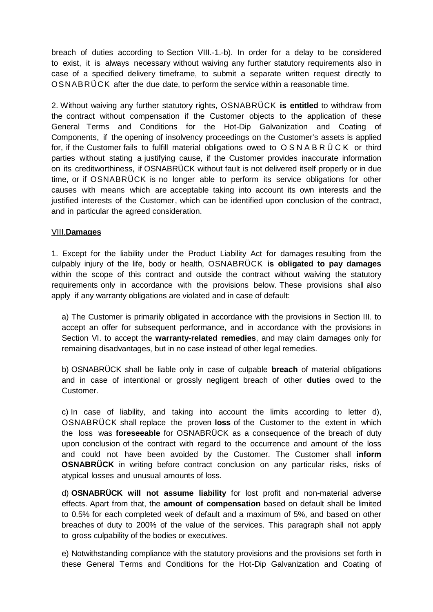breach of duties according to Section VIII.-1.-b). In order for a delay to be considered to exist, it is always necessary without waiving any further statutory requirements also in case of a specified delivery timeframe, to submit a separate written request directly to OSNABRÜCK after the due date, to perform the service within a reasonable time.

2. Without waiving any further statutory rights, OSNABRÜCK **is entitled** to withdraw from the contract without compensation if the Customer objects to the application of these General Terms and Conditions for the Hot-Dip Galvanization and Coating of Components, if the opening of insolvency proceedings on the Customer's assets is applied for, if the Customer fails to fulfill material obligations owed to OSNABRÜCK or third parties without stating a justifying cause, if the Customer provides inaccurate information on its creditworthiness, if OSNABRÜCK without fault is not delivered itself properly or in due time, or if OSNABRÜCK is no longer able to perform its service obligations for other causes with means which are acceptable taking into account its own interests and the justified interests of the Customer, which can be identified upon conclusion of the contract, and in particular the agreed consideration.

#### VIII.**Damages**

1. Except for the liability under the Product Liability Act for damages resulting from the culpably injury of the life, body or health, OSNABRÜCK **is obligated to pay damages** within the scope of this contract and outside the contract without waiving the statutory requirements only in accordance with the provisions below. These provisions shall also apply if any warranty obligations are violated and in case of default:

a) The Customer is primarily obligated in accordance with the provisions in Section III. to accept an offer for subsequent performance, and in accordance with the provisions in Section VI. to accept the **warranty-related remedies**, and may claim damages only for remaining disadvantages, but in no case instead of other legal remedies.

b) OSNABRÜCK shall be liable only in case of culpable **breach** of material obligations and in case of intentional or grossly negligent breach of other **duties** owed to the Customer.

c) In case of liability, and taking into account the limits according to letter d), OSNABRÜCK shall replace the proven **loss** of the Customer to the extent in which the loss was **foreseeable** for OSNABRÜCK as a consequence of the breach of duty upon conclusion of the contract with regard to the occurrence and amount of the loss and could not have been avoided by the Customer. The Customer shall **inform OSNABRÜCK** in writing before contract conclusion on any particular risks, risks of atypical losses and unusual amounts of loss.

d) **OSNABRÜCK will not assume liability** for lost profit and non-material adverse effects. Apart from that, the **amount of compensation** based on default shall be limited to 0.5% for each completed week of default and a maximum of 5%, and based on other breaches of duty to 200% of the value of the services. This paragraph shall not apply to gross culpability of the bodies or executives.

e) Notwithstanding compliance with the statutory provisions and the provisions set forth in these General Terms and Conditions for the Hot-Dip Galvanization and Coating of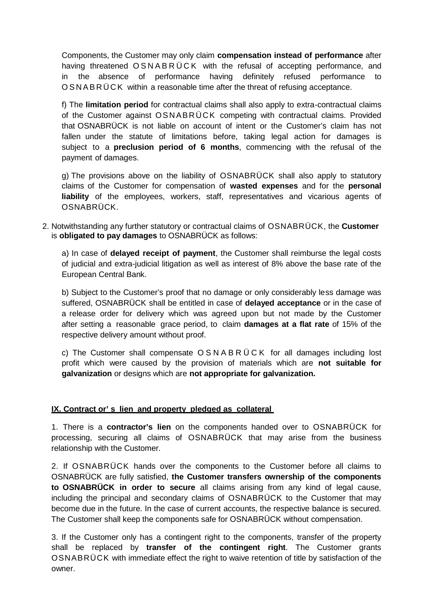Components, the Customer may only claim **compensation instead of performance** after having threatened OSNABRÜCK with the refusal of accepting performance, and in the absence of performance having definitely refused performance to OSNABRÜCK within a reasonable time after the threat of refusing acceptance.

f) The **limitation period** for contractual claims shall also apply to extra-contractual claims of the Customer against OSNABRÜCK competing with contractual claims. Provided that OSNABRÜCK is not liable on account of intent or the Customer's claim has not fallen under the statute of limitations before, taking legal action for damages is subject to a **preclusion period of 6 months**, commencing with the refusal of the payment of damages.

g) The provisions above on the liability of OSNABRÜCK shall also apply to statutory claims of the Customer for compensation of **wasted expenses** and for the **personal liability** of the employees, workers, staff, representatives and vicarious agents of OSNABRÜCK.

2. Notwithstanding any further statutory or contractual claims of OSNABRÜCK, the **Customer** is **obligated to pay damages** to OSNABRÜCK as follows:

a) In case of **delayed receipt of payment**, the Customer shall reimburse the legal costs of judicial and extra-judicial litigation as well as interest of 8% above the base rate of the European Central Bank.

b) Subject to the Customer's proof that no damage or only considerably less damage was suffered, OSNABRÜCK shall be entitled in case of **delayed acceptance** or in the case of a release order for delivery which was agreed upon but not made by the Customer after setting a reasonable grace period, to claim **damages at a flat rate** of 15% of the respective delivery amount without proof.

c) The Customer shall compensate OSNABRÜCK for all damages including lost profit which were caused by the provision of materials which are **not suitable for galvanization** or designs which are **not appropriate for galvanization.**

#### **IX. Contract or' s lien and property pledged as collateral**

1. There is a **contractor's lien** on the components handed over to OSNABRÜCK for processing, securing all claims of OSNABRÜCK that may arise from the business relationship with the Customer.

2. If OSNABRÜCK hands over the components to the Customer before all claims to OSNABRÜCK are fully satisfied, **the Customer transfers ownership of the components to OSNABRÜCK in order to secure** all claims arising from any kind of legal cause, including the principal and secondary claims of OSNABRÜCK to the Customer that may become due in the future. In the case of current accounts, the respective balance is secured. The Customer shall keep the components safe for OSNABRÜCK without compensation.

3. If the Customer only has a contingent right to the components, transfer of the property shall be replaced by **transfer of the contingent right**. The Customer grants OSNABRÜCK with immediate effect the right to waive retention of title by satisfaction of the owner.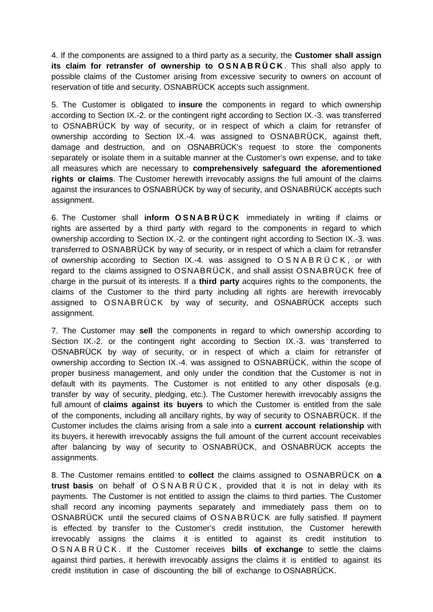4. If the components are assigned to a third party as a security, the **Customer shall assign its claim for retransfer of ownership to OSNABRÜCK** . This shall also apply to possible claims of the Customer arising from excessive security to owners on account of reservation of title and security. OSNABRÜCK accepts such assignment.

5. The Customer is obligated to **insure** the components in regard to which ownership according to Section IX.-2. or the contingent right according to Section IX.-3. was transferred to OSNABRÜCK by way of security, or in respect of which a claim for retransfer of ownership according to Section IX.-4. was assigned to OSNABRÜCK, against theft, damage and destruction, and on OSNABRÜCK's request to store the components separately or isolate them in a suitable manner at the Customer's own expense, and to take all measures which are necessary to **comprehensively safeguard the aforementioned rights or claims**. The Customer herewith irrevocably assigns the full amount of the claims against the insurances to OSNABRÜCK by way of security, and OSNABRÜCK accepts such assignment.

6. The Customer shall **inform OSNABRÜCK** immediately in writing if claims or rights are asserted by a third party with regard to the components in regard to which ownership according to Section IX.-2. or the contingent right according to Section IX.-3. was transferred to OSNABRÜCK by way of security, or in respect of which a claim for retransfer of ownership according to Section IX.-4. was assigned to OSNABRÜCK , or with regard to the claims assigned to OSNABRÜCK, and shall assist OSNABRÜCK free of charge in the pursuit of its interests. If a **third party** acquires rights to the components, the claims of the Customer to the third party including all rights are herewith irrevocably assigned to OSNABRÜCK by way of security, and OSNABRÜCK accepts such assignment.

7. The Customer may **sell** the components in regard to which ownership according to Section IX.-2. or the contingent right according to Section IX.-3. was transferred to OSNABRÜCK by way of security, or in respect of which a claim for retransfer of ownership according to Section IX.-4. was assigned to OSNABRÜCK, within the scope of proper business management, and only under the condition that the Customer is not in default with its payments. The Customer is not entitled to any other disposals (e.g. transfer by way of security, pledging, etc.). The Customer herewith irrevocably assigns the full amount of **claims against its buyers** to which the Customer is entitled from the sale of the components, including all ancillary rights, by way of security to OSNABRÜCK. If the Customer includes the claims arising from a sale into a **current account relationship** with its buyers, it herewith irrevocably assigns the full amount of the current account receivables after balancing by way of security to OSNABRÜCK, and OSNABRÜCK accepts the assignments.

8. The Customer remains entitled to **collect** the claims assigned to OSNABRÜCK on **a trust basis** on behalf of OSNABRÜCK , provided that it is not in delay with its payments. The Customer is not entitled to assign the claims to third parties. The Customer shall record any incoming payments separately and immediately pass them on to OSNABRÜCK until the secured claims of OSNABRÜCK are fully satisfied. If payment is effected by transfer to the Customer's credit institution, the Customer herewith irrevocably assigns the claims it is entitled to against its credit institution to OSNABRÜCK . If the Customer receives **bills of exchange** to settle the claims against third parties, it herewith irrevocably assigns the claims it is entitled to against its credit institution in case of discounting the bill of exchange to OSNABRÜCK.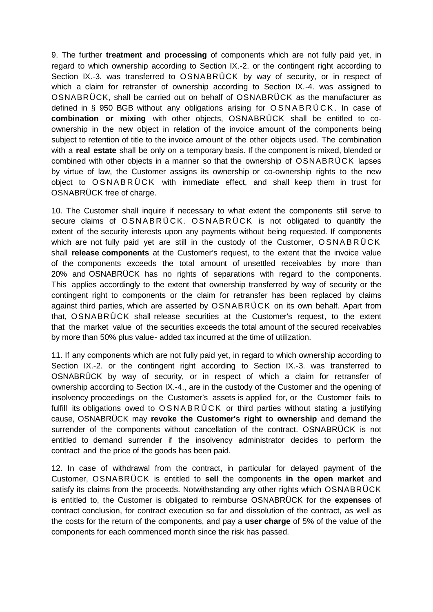9. The further **treatment and processing** of components which are not fully paid yet, in regard to which ownership according to Section IX.-2. or the contingent right according to Section IX.-3. was transferred to OSNABRÜCK by way of security, or in respect of which a claim for retransfer of ownership according to Section IX.-4. was assigned to OSNABRÜCK, shall be carried out on behalf of OSNABRÜCK as the manufacturer as defined in § 950 BGB without any obligations arising for OSNABRÜCK . In case of **combination or mixing** with other objects, OSNABRÜCK shall be entitled to coownership in the new object in relation of the invoice amount of the components being subject to retention of title to the invoice amount of the other objects used. The combination with a **real estate** shall be only on a temporary basis. If the component is mixed, blended or combined with other objects in a manner so that the ownership of OSNABRÜCK lapses by virtue of law, the Customer assigns its ownership or co-ownership rights to the new object to OSNABRÜCK with immediate effect, and shall keep them in trust for OSNABRÜCK free of charge.

10. The Customer shall inquire if necessary to what extent the components still serve to secure claims of OSNABRÜCK. OSNABRÜCK is not obligated to quantify the extent of the security interests upon any payments without being requested. If components which are not fully paid yet are still in the custody of the Customer, OSNABRÜCK shall **release components** at the Customer's request, to the extent that the invoice value of the components exceeds the total amount of unsettled receivables by more than 20% and OSNABRÜCK has no rights of separations with regard to the components. This applies accordingly to the extent that ownership transferred by way of security or the contingent right to components or the claim for retransfer has been replaced by claims against third parties, which are asserted by OSNABRÜCK on its own behalf. Apart from that, OSNABRÜCK shall release securities at the Customer's request, to the extent that the market value of the securities exceeds the total amount of the secured receivables by more than 50% plus value- added tax incurred at the time of utilization.

11. If any components which are not fully paid yet, in regard to which ownership according to Section IX.-2. or the contingent right according to Section IX.-3. was transferred to OSNABRÜCK by way of security, or in respect of which a claim for retransfer of ownership according to Section IX.-4., are in the custody of the Customer and the opening of insolvency proceedings on the Customer's assets is applied for, or the Customer fails to fulfill its obligations owed to OSNABRÜCK or third parties without stating a justifying cause, OSNABRÜCK may **revoke the Customer's right to ownership** and demand the surrender of the components without cancellation of the contract. OSNABRÜCK is not entitled to demand surrender if the insolvency administrator decides to perform the contract and the price of the goods has been paid.

12. In case of withdrawal from the contract, in particular for delayed payment of the Customer, OSNABRÜCK is entitled to **sell** the components **in the open market** and satisfy its claims from the proceeds. Notwithstanding any other rights which OSNABRÜCK is entitled to, the Customer is obligated to reimburse OSNABRÜCK for the **expenses** of contract conclusion, for contract execution so far and dissolution of the contract, as well as the costs for the return of the components, and pay a **user charge** of 5% of the value of the components for each commenced month since the risk has passed.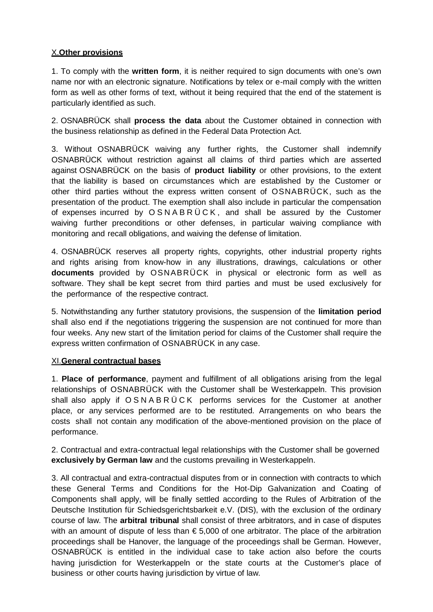# X.**Other provisions**

1. To comply with the **written form**, it is neither required to sign documents with one's own name nor with an electronic signature. Notifications by telex or e-mail comply with the written form as well as other forms of text, without it being required that the end of the statement is particularly identified as such.

2. OSNABRÜCK shall **process the data** about the Customer obtained in connection with the business relationship as defined in the Federal Data Protection Act.

3. Without OSNABRÜCK waiving any further rights, the Customer shall indemnify OSNABRÜCK without restriction against all claims of third parties which are asserted against OSNABRÜCK on the basis of **product liability** or other provisions, to the extent that the liability is based on circumstances which are established by the Customer or other third parties without the express written consent of OSNABRÜCK, such as the presentation of the product. The exemption shall also include in particular the compensation of expenses incurred by OSNABRÜCK , and shall be assured by the Customer waiving further preconditions or other defenses, in particular waiving compliance with monitoring and recall obligations, and waiving the defense of limitation.

4. OSNABRÜCK reserves all property rights, copyrights, other industrial property rights and rights arising from know-how in any illustrations, drawings, calculations or other **documents** provided by OSNABRÜCK in physical or electronic form as well as software. They shall be kept secret from third parties and must be used exclusively for the performance of the respective contract.

5. Notwithstanding any further statutory provisions, the suspension of the **limitation period**  shall also end if the negotiations triggering the suspension are not continued for more than four weeks. Any new start of the limitation period for claims of the Customer shall require the express written confirmation of OSNABRÜCK in any case.

#### XI.**General contractual bases**

1. **Place of performance**, payment and fulfillment of all obligations arising from the legal relationships of OSNABRÜCK with the Customer shall be Westerkappeln. This provision shall also apply if OSNABRÜCK performs services for the Customer at another place, or any services performed are to be restituted. Arrangements on who bears the costs shall not contain any modification of the above-mentioned provision on the place of performance.

2. Contractual and extra-contractual legal relationships with the Customer shall be governed **exclusively by German law** and the customs prevailing in Westerkappeln.

3. All contractual and extra-contractual disputes from or in connection with contracts to which these General Terms and Conditions for the Hot-Dip Galvanization and Coating of Components shall apply, will be finally settled according to the Rules of Arbitration of the Deutsche Institution für Schiedsgerichtsbarkeit e.V. (DIS), with the exclusion of the ordinary course of law. The **arbitral tribunal** shall consist of three arbitrators, and in case of disputes with an amount of dispute of less than € 5,000 of one arbitrator. The place of the arbitration proceedings shall be Hanover, the language of the proceedings shall be German. However, OSNABRÜCK is entitled in the individual case to take action also before the courts having jurisdiction for Westerkappeln or the state courts at the Customer's place of business or other courts having jurisdiction by virtue of law.